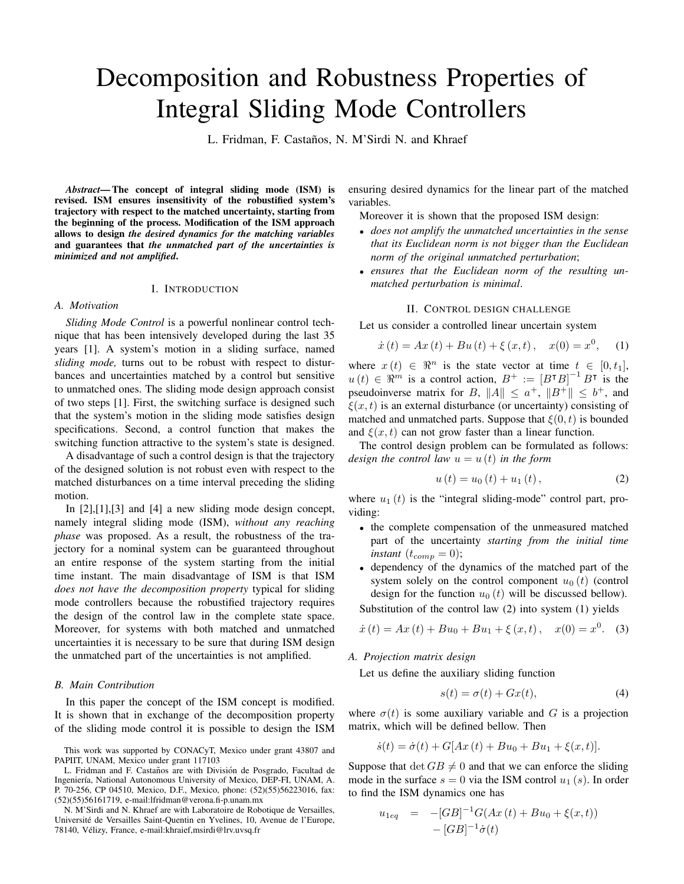# Decomposition and Robustness Properties of Integral Sliding Mode Controllers

L. Fridman, F. Castaños, N. M'Sirdi N. and Khraef

*Abstract***—The concept of integral sliding mode (ISM) is revised. ISM ensures insensitivity of the robustified system's trajectory with respect to the matched uncertainty, starting from the beginning of the process. Modification of the ISM approach allows to design** *the desired dynamics for the matching variables* **and guarantees that** *the unmatched part of the uncertainties is minimized and not amplified***.**

# I. INTRODUCTION

## *A. Motivation*

*Sliding Mode Control* is a powerful nonlinear control technique that has been intensively developed during the last 35 years [1]. A system's motion in a sliding surface, named *sliding mode,* turns out to be robust with respect to disturbances and uncertainties matched by a control but sensitive to unmatched ones. The sliding mode design approach consist of two steps [1]. First, the switching surface is designed such that the system's motion in the sliding mode satisfies design specifications. Second, a control function that makes the switching function attractive to the system's state is designed.

A disadvantage of such a control design is that the trajectory of the designed solution is not robust even with respect to the matched disturbances on a time interval preceding the sliding motion.

In [2],[1],[3] and [4] a new sliding mode design concept, namely integral sliding mode (ISM), *without any reaching phase* was proposed. As a result, the robustness of the trajectory for a nominal system can be guaranteed throughout an entire response of the system starting from the initial time instant. The main disadvantage of ISM is that ISM *does not have the decomposition property* typical for sliding mode controllers because the robustified trajectory requires the design of the control law in the complete state space. Moreover, for systems with both matched and unmatched uncertainties it is necessary to be sure that during ISM design the unmatched part of the uncertainties is not amplified.

#### *B. Main Contribution*

In this paper the concept of the ISM concept is modified. It is shown that in exchange of the decomposition property of the sliding mode control it is possible to design the ISM

N. M'Sirdi and N. Khraef are with Laboratoire de Robotique de Versailles, Université de Versailles Saint-Quentin en Yvelines, 10, Avenue de l'Europe, 78140, Vélizy, France, e-mail:khraief,msirdi@lrv.uvsq.fr

ensuring desired dynamics for the linear part of the matched variables.

Moreover it is shown that the proposed ISM design:

- *does not amplify the unmatched uncertainties in the sense that its Euclidean norm is not bigger than the Euclidean norm of the original unmatched perturbation*;
- *ensures that the Euclidean norm of the resulting unmatched perturbation is minimal*.

## II. CONTROL DESIGN CHALLENGE

Let us consider a controlled linear uncertain system

$$
\dot{x}(t) = Ax(t) + Bu(t) + \xi(x, t), \quad x(0) = x^{0}, \quad (1)
$$

where  $x(t) \in \mathbb{R}^n$  is the state vector at time  $t \in [0, t_1]$ ,  $u(t) \in \mathbb{R}^m$  is a control action,  $B^+ := [B^{\dagger}B]^{-1}B^{\dagger}$  is the pseudoinverse matrix for B,  $||A|| \le a^+$ ,  $||B^+|| \le b^+$ , and  $\xi(x,t)$  is an external disturbance (or uncertainty) consisting of matched and unmatched parts. Suppose that  $\xi(0,t)$  is bounded and  $\xi(x,t)$  can not grow faster than a linear function.

The control design problem can be formulated as follows: *design the control law*  $u = u(t)$  *in the form* 

$$
u(t) = u_0(t) + u_1(t),
$$
 (2)

where  $u_1(t)$  is the "integral sliding-mode" control part, providing:

- the complete compensation of the unmeasured matched part of the uncertainty *starting from the initial time instant*  $(t_{comp} = 0)$ ;
- dependency of the dynamics of the matched part of the system solely on the control component  $u_0(t)$  (control design for the function  $u_0(t)$  will be discussed bellow).

Substitution of the control law (2) into system (1) yields

$$
\dot{x}(t) = Ax(t) + Bu_0 + Bu_1 + \xi(x, t), \quad x(0) = x^0. \tag{3}
$$

*A. Projection matrix design*

Let us define the auxiliary sliding function

$$
s(t) = \sigma(t) + Gx(t),\tag{4}
$$

where  $\sigma(t)$  is some auxiliary variable and G is a projection matrix, which will be defined bellow. Then

$$
\dot{s}(t) = \dot{\sigma}(t) + G[Ax(t) + Bu_0 + Bu_1 + \xi(x, t)].
$$

Suppose that  $\det GB \neq 0$  and that we can enforce the sliding mode in the surface  $s = 0$  via the ISM control  $u_1(s)$ . In order to find the ISM dynamics one has

$$
u_{1eq} = -[GB]^{-1}G(Ax(t) + Bu_0 + \xi(x,t))
$$
  
- [GB]^{-1}\dot{\sigma}(t)

This work was supported by CONACyT, Mexico under grant 43807 and PAPIIT, UNAM, Mexico under grant 117103

L. Fridman and F. Castaños are with División de Posgrado, Facultad de Ingeniería, National Autonomous University of Mexico, DEP-FI, UNAM, A. P. 70-256, CP 04510, Mexico, D.F., Mexico, phone: (52)(55)56223016, fax: (52)(55)56161719, e-mail:lfridman@verona.fi-p.unam.mx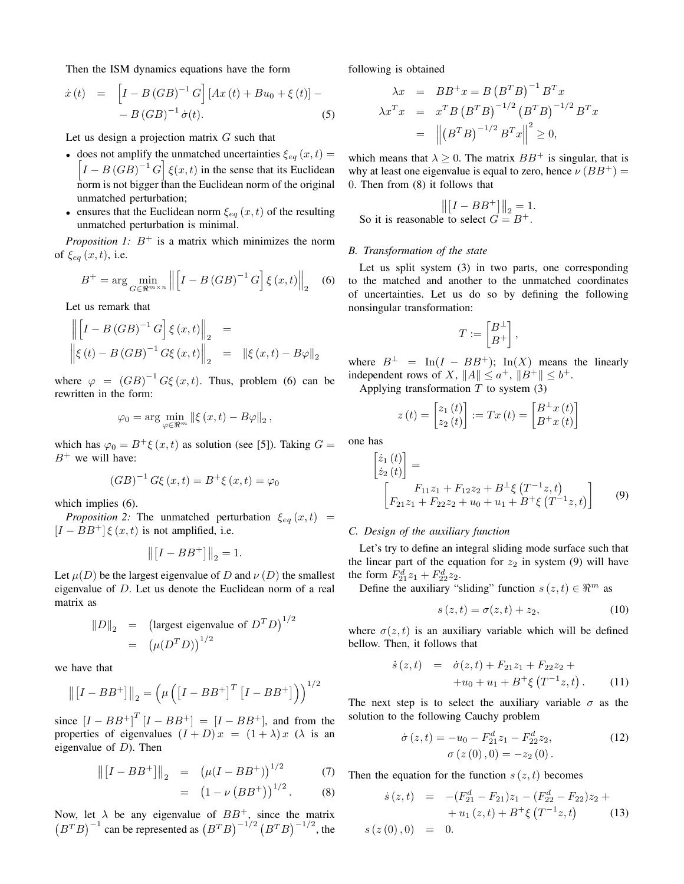Then the ISM dynamics equations have the form

$$
\dot{x}(t) = [I - B(GB)^{-1}G] [Ax(t) + Bu_0 + \xi(t)] -- B(GB)^{-1} \dot{\sigma}(t).
$$
 (5)

Let us design a projection matrix  $G$  such that

- does not amplify the unmatched uncertainties  $\xi_{eq}(x,t)$  =  $\left[I - B(GB)^{-1} G\right] \xi(x,t)$  in the sense that its Euclidean norm is not bigger than the Euclidean norm of the original unmatched perturbation;
- ensures that the Euclidean norm  $\xi_{eq}(x,t)$  of the resulting unmatched perturbation is minimal.

*Proposition* 1:  $B^+$  is a matrix which minimizes the norm of  $\xi_{eq}(x,t)$ , i.e.

$$
B^{+} = \arg\min_{G \in \mathbb{R}^{m \times n}} \left\| \left[ I - B\left( GB \right)^{-1} G \right] \xi \left( x, t \right) \right\|_{2} \quad (6)
$$

Let us remark that

$$
\left\| \begin{bmatrix} I - B\left( GB \right)^{-1} G \end{bmatrix} \xi \left( x, t \right) \right\|_2 =
$$
  

$$
\left\| \xi \left( t \right) - B\left( GB \right)^{-1} G \xi \left( x, t \right) \right\|_2 = \left\| \xi \left( x, t \right) - B \varphi \right\|_2
$$

where  $\varphi = (GB)^{-1} G\xi(x,t)$ . Thus, problem (6) can be rewritten in the form:

$$
\varphi_0 = \arg\min_{\varphi \in \Re^m} \left\| \xi(x, t) - B\varphi \right\|_2,
$$

which has  $\varphi_0 = B^+ \xi(x,t)$  as solution (see [5]). Taking  $G =$  $B^+$  we will have:

$$
(GB)^{-1} G\xi (x,t) = B^{+} \xi (x,t) = \varphi_0
$$

which implies (6).

*Proposition* 2: The unmatched perturbation  $\xi_{eq}(x,t)$  =  $[I - BB^+] \xi(x, t)$  is not amplified, i.e.

$$
\left\| \left[I - BB^+\right] \right\|_2 = 1.
$$

Let  $\mu(D)$  be the largest eigenvalue of D and  $\nu(D)$  the smallest eigenvalue of D. Let us denote the Euclidean norm of a real matrix as

$$
||D||_2 = \left(\text{largest eigenvalue of } D^T D\right)^{1/2}
$$
  
=  $\left(\mu(D^T D)\right)^{1/2}$ 

we have that

$$
\left\| \begin{bmatrix} I - BB^+ \end{bmatrix} \right\|_2 = \left( \mu \left( \begin{bmatrix} I - BB^+ \end{bmatrix}^T \begin{bmatrix} I - BB^+ \end{bmatrix} \right) \right)^{1/2}
$$

since  $[I - BB^+]^T[I - BB^+] = [I - BB^+]$ , and from the properties of eigenvalues  $(I + D)x = (1 + \lambda)x$  ( $\lambda$  is an eigenvalue of  $D$ ). Then

$$
\left\| \begin{bmatrix} I - BB^+ \end{bmatrix} \right\|_2 = \left( \mu (I - BB^+) \right)^{1/2} \tag{7}
$$

$$
= (1 - \nu (BB^+))^{1/2}.
$$
 (8)

Now, let  $\lambda$  be any eigenvalue of  $BB^+$ , since the matrix  $(B^T B)^{-1}$  can be represented as  $(B^T B)^{-1/2} (B^T B)^{-1/2}$ , the following is obtained

$$
\lambda x = BB^{+}x = B(B^{T}B)^{-1}B^{T}x
$$
  
\n
$$
\lambda x^{T}x = x^{T}B(B^{T}B)^{-1/2}(B^{T}B)^{-1/2}B^{T}x
$$
  
\n
$$
= ||(B^{T}B)^{-1/2}B^{T}x||^{2} \ge 0,
$$

which means that  $\lambda > 0$ . The matrix  $BB^+$  is singular, that is why at least one eigenvalue is equal to zero, hence  $\nu (BB^+)$  = 0. Then from (8) it follows that

$$
\left\| \begin{bmatrix} I - BB^+ \end{bmatrix} \right\|_2 = 1.
$$
  
So it is reasonable to select  $G = B^+$ .

## *B. Transformation of the state*

Let us split system (3) in two parts, one corresponding to the matched and another to the unmatched coordinates of uncertainties. Let us do so by defining the following nonsingular transformation:

$$
T:=\begin{bmatrix} B^\perp \\ B^+ \end{bmatrix},
$$

where  $B^{\perp} = \text{In}(I - BB^+); \text{In}(X)$  means the linearly independent rows of X,  $||A|| \le a^+$ ,  $||B^+|| \le b^+$ .

Applying transformation  $T$  to system  $(3)$ 

$$
z(t) = \begin{bmatrix} z_1(t) \\ z_2(t) \end{bmatrix} := Tx(t) = \begin{bmatrix} B^\perp x(t) \\ B^\perp x(t) \end{bmatrix}
$$

one has

$$
\begin{bmatrix} \dot{z}_1(t) \\ \dot{z}_2(t) \end{bmatrix} = \begin{bmatrix} F_{11}z_1 + F_{12}z_2 + B^\perp \xi \left( T^{-1}z, t \right) \\ F_{21}z_1 + F_{22}z_2 + u_0 + u_1 + B^+ \xi \left( T^{-1}z, t \right) \end{bmatrix} \tag{9}
$$

#### *C. Design of the auxiliary function*

Let's try to define an integral sliding mode surface such that the linear part of the equation for  $z_2$  in system (9) will have the form  $F_{21}^d z_1 + F_{22}^d z_2$ .

Define the auxiliary "sliding" function  $s(z, t) \in \mathbb{R}^m$  as

$$
s(z,t) = \sigma(z,t) + z_2,\tag{10}
$$

where  $\sigma(z, t)$  is an auxiliary variable which will be defined bellow. Then, it follows that

$$
\dot{s}(z,t) = \dot{\sigma}(z,t) + F_{21}z_1 + F_{22}z_2 ++u_0 + u_1 + B^+\xi(T^{-1}z,t).
$$
 (11)

The next step is to select the auxiliary variable  $\sigma$  as the solution to the following Cauchy problem

$$
\dot{\sigma}(z,t) = -u_0 - F_{21}^d z_1 - F_{22}^d z_2,
$$
  
\n
$$
\sigma(z(0),0) = -z_2(0).
$$
\n(12)

Then the equation for the function  $s(z, t)$  becomes

$$
\dot{s}(z,t) = -(F_{21}^d - F_{21})z_1 - (F_{22}^d - F_{22})z_2 ++ u_1(z,t) + B^+\xi (T^{-1}z,t) \qquad (13)
$$
  

$$
s(z(0),0) = 0.
$$